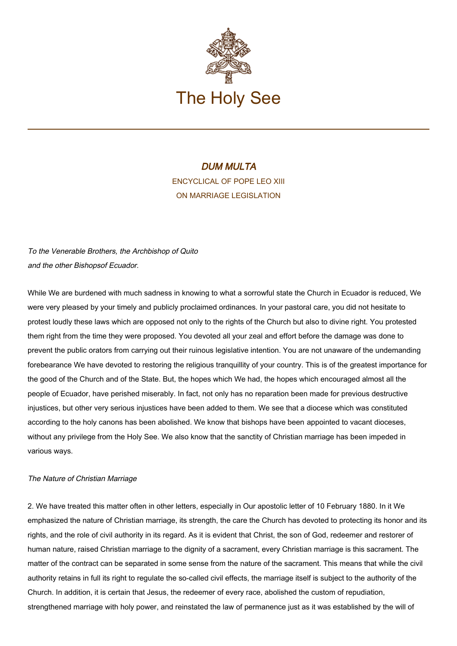

# DUM MULTA ENCYCLICAL OF POPE LEO XIII ON MARRIAGE LEGISLATION

To the Venerable Brothers, the Archbishop of Quito and the other Bishopsof Ecuador.

While We are burdened with much sadness in knowing to what a sorrowful state the Church in Ecuador is reduced, We were very pleased by your timely and publicly proclaimed ordinances. In your pastoral care, you did not hesitate to protest loudly these laws which are opposed not only to the rights of the Church but also to divine right. You protested them right from the time they were proposed. You devoted all your zeal and effort before the damage was done to prevent the public orators from carrying out their ruinous legislative intention. You are not unaware of the undemanding forebearance We have devoted to restoring the religious tranquillity of your country. This is of the greatest importance for the good of the Church and of the State. But, the hopes which We had, the hopes which encouraged almost all the people of Ecuador, have perished miserably. In fact, not only has no reparation been made for previous destructive injustices, but other very serious injustices have been added to them. We see that a diocese which was constituted according to the holy canons has been abolished. We know that bishops have been appointed to vacant dioceses, without any privilege from the Holy See. We also know that the sanctity of Christian marriage has been impeded in various ways.

### The Nature of Christian Marriage

2. We have treated this matter often in other letters, especially in Our apostolic letter of 10 February 1880. In it We emphasized the nature of Christian marriage, its strength, the care the Church has devoted to protecting its honor and its rights, and the role of civil authority in its regard. As it is evident that Christ, the son of God, redeemer and restorer of human nature, raised Christian marriage to the dignity of a sacrament, every Christian marriage is this sacrament. The matter of the contract can be separated in some sense from the nature of the sacrament. This means that while the civil authority retains in full its right to regulate the so-called civil effects, the marriage itself is subject to the authority of the Church. In addition, it is certain that Jesus, the redeemer of every race, abolished the custom of repudiation, strengthened marriage with holy power, and reinstated the law of permanence just as it was established by the will of